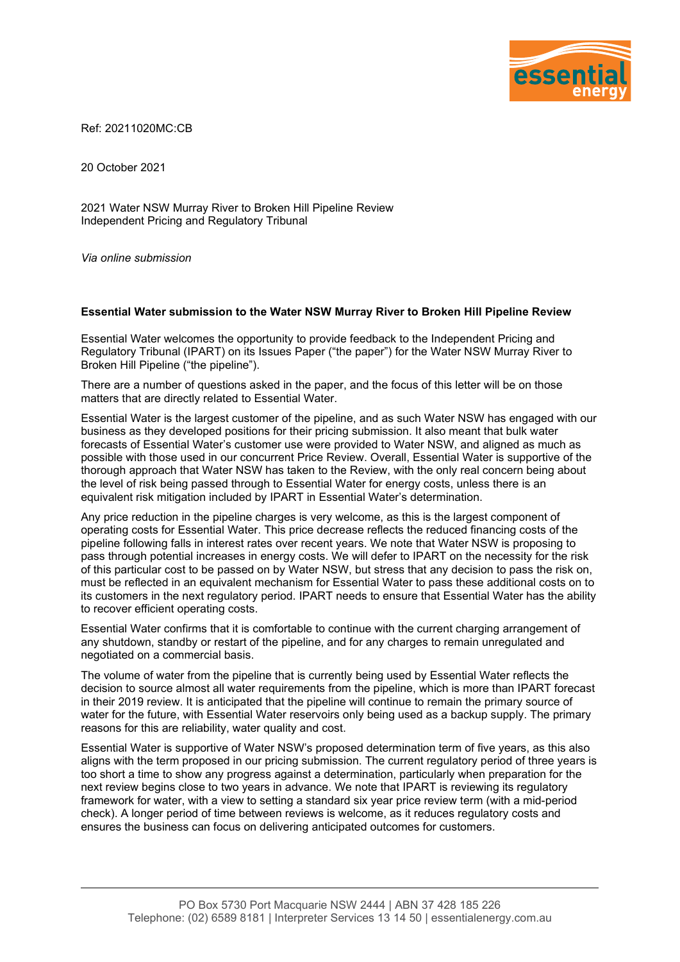

Ref: 20211020MC:CB

20 October 2021

2021 Water NSW Murray River to Broken Hill Pipeline Review Independent Pricing and Regulatory Tribunal

*Via online submission*

## **Essential Water submission to the Water NSW Murray River to Broken Hill Pipeline Review**

Essential Water welcomes the opportunity to provide feedback to the Independent Pricing and Regulatory Tribunal (IPART) on its Issues Paper ("the paper") for the Water NSW Murray River to Broken Hill Pipeline ("the pipeline").

There are a number of questions asked in the paper, and the focus of this letter will be on those matters that are directly related to Essential Water.

Essential Water is the largest customer of the pipeline, and as such Water NSW has engaged with our business as they developed positions for their pricing submission. It also meant that bulk water forecasts of Essential Water's customer use were provided to Water NSW, and aligned as much as possible with those used in our concurrent Price Review. Overall, Essential Water is supportive of the thorough approach that Water NSW has taken to the Review, with the only real concern being about the level of risk being passed through to Essential Water for energy costs, unless there is an equivalent risk mitigation included by IPART in Essential Water's determination.

Any price reduction in the pipeline charges is very welcome, as this is the largest component of operating costs for Essential Water. This price decrease reflects the reduced financing costs of the pipeline following falls in interest rates over recent years. We note that Water NSW is proposing to pass through potential increases in energy costs. We will defer to IPART on the necessity for the risk of this particular cost to be passed on by Water NSW, but stress that any decision to pass the risk on, must be reflected in an equivalent mechanism for Essential Water to pass these additional costs on to its customers in the next regulatory period. IPART needs to ensure that Essential Water has the ability to recover efficient operating costs.

Essential Water confirms that it is comfortable to continue with the current charging arrangement of any shutdown, standby or restart of the pipeline, and for any charges to remain unregulated and negotiated on a commercial basis.

The volume of water from the pipeline that is currently being used by Essential Water reflects the decision to source almost all water requirements from the pipeline, which is more than IPART forecast in their 2019 review. It is anticipated that the pipeline will continue to remain the primary source of water for the future, with Essential Water reservoirs only being used as a backup supply. The primary reasons for this are reliability, water quality and cost.

Essential Water is supportive of Water NSW's proposed determination term of five years, as this also aligns with the term proposed in our pricing submission. The current regulatory period of three years is too short a time to show any progress against a determination, particularly when preparation for the next review begins close to two years in advance. We note that IPART is reviewing its regulatory framework for water, with a view to setting a standard six year price review term (with a mid-period check). A longer period of time between reviews is welcome, as it reduces regulatory costs and ensures the business can focus on delivering anticipated outcomes for customers.